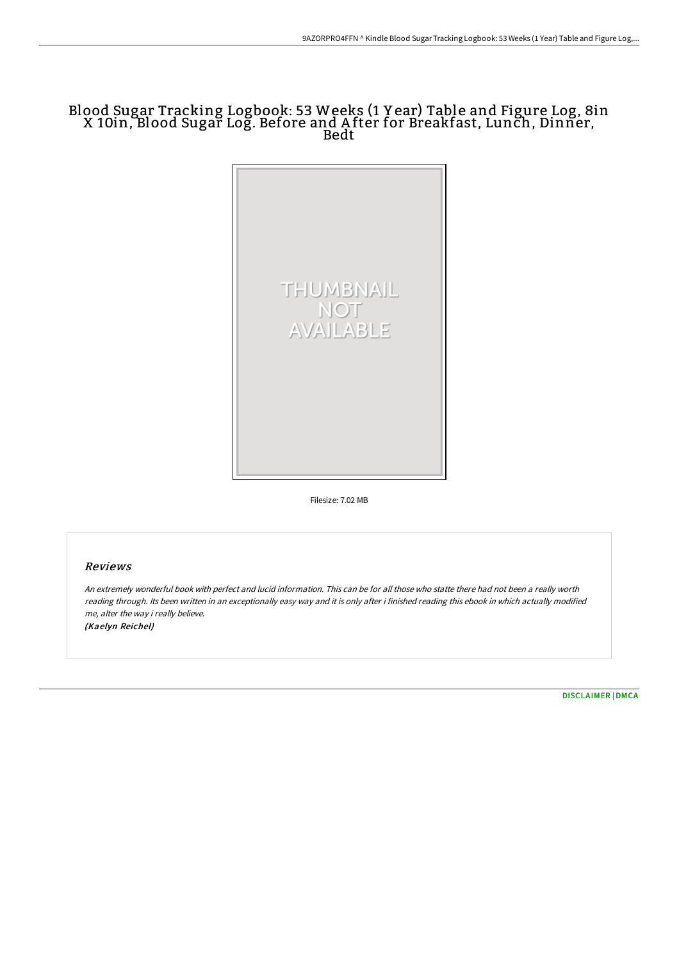# Blood Sugar Tracking Logbook: 53 Weeks (1 Y ear) Table and Figure Log, 8in X 10in, Blood Sugar Log. Before and A fter for Breakfast, Lunch, Dinner, Bedt



Filesize: 7.02 MB

## Reviews

An extremely wonderful book with perfect and lucid information. This can be for all those who statte there had not been <sup>a</sup> really worth reading through. Its been written in an exceptionally easy way and it is only after i finished reading this ebook in which actually modified me, alter the way i really believe. (Kaelyn Reichel)

[DISCLAIMER](http://albedo.media/disclaimer.html) | [DMCA](http://albedo.media/dmca.html)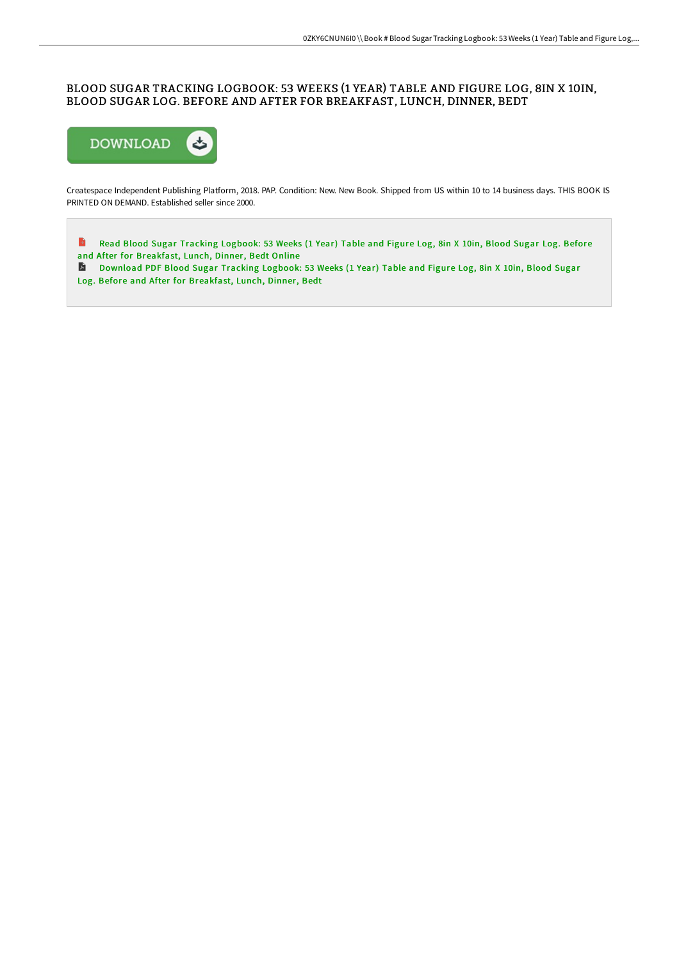### BLOOD SUGAR TRACKING LOGBOOK: 53 WEEKS (1 YEAR) TABLE AND FIGURE LOG, 8IN X 10IN, BLOOD SUGAR LOG. BEFORE AND AFTER FOR BREAKFAST, LUNCH, DINNER, BEDT



Createspace Independent Publishing Platform, 2018. PAP. Condition: New. New Book. Shipped from US within 10 to 14 business days. THIS BOOK IS PRINTED ON DEMAND. Established seller since 2000.

 $\rightarrow$ Read Blood Sugar Tracking Logbook: 53 Weeks (1 Year) Table and Figure Log, 8in X 10in, Blood Sugar Log. Before and After for [Breakfast,](http://albedo.media/blood-sugar-tracking-logbook-53-weeks-1-year-tab.html) Lunch, Dinner, Bedt Online

[Download](http://albedo.media/blood-sugar-tracking-logbook-53-weeks-1-year-tab.html) PDF Blood Sugar Tracking Logbook: 53 Weeks (1 Year) Table and Figure Log, 8in X 10in, Blood Sugar Log. Before and After for Breakfast, Lunch, Dinner, Bedt